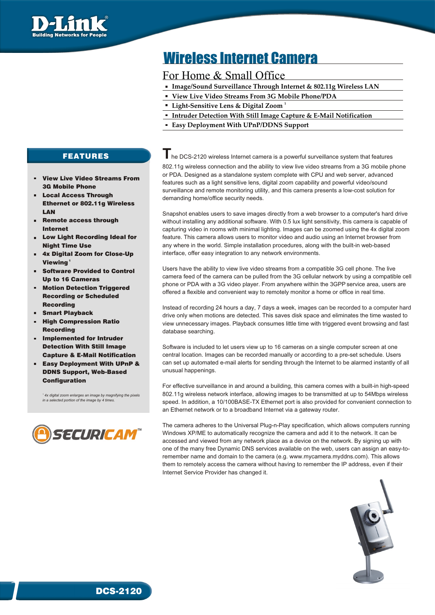

# Wireless Internet Camera

## For Home & Small Office

- **Image/Sound Surveillance Through Internet & 802.11g Wireless LAN**
- **View Live Video Streams From 3G Mobile Phone/PDA**
- **1 Light-Sensitive Lens & Digital Zoom**
- **Intruder Detection With Still Image Capture & E-Mail Notification**
- **Easy Deployment With UPnP/DDNS Support**

## FEATURES

- View Live Video Streams From 3G Mobile Phone
- Local Access Through Ethernet or 802.11g Wireless LAN
- Remote access through  $\mathbf{u}$  . Internet
- Low Light Recording Ideal for Night Time Use
- 4x Digital Zoom for Close-Up Viewina<sup>1</sup>
- Software Provided to Control Up to 16 Cameras
- Motion Detection Triggered m. Recording or Scheduled Recording
- $\alpha$  . Smart Playback
- High Compression Ratio Recording
- Implemented for Intruder Detection With Still Image Capture & E-Mail Notification
- Easy Deployment With UPnP &  $\mathbf{u}$  . DDNS Support, Web-Based Configuration

*1 4x digital zoom enlarges an image by magnifying the pixels in a selected portion of the image by 4 times.*



1

**T**he DCS-2120 wireless Internet camera is a powerful surveillance system that features 802.11g wireless connection and the ability to view live video streams from a 3G mobile phone

or PDA. Designed as a standalone system complete with CPU and web server, advanced features such as a light sensitive lens, digital zoom capability and powerful video/sound surveillance and remote monitoring utility, and this camera presents a low-cost solution for demanding home/office security needs.

Snapshot enables users to save images directly from a web browser to a computer's hard drive without installing any additional software. With 0.5 lux light sensitivity, this camera is capable of capturing video in rooms with minimal lighting. Images can be zoomed using the 4x digital zoom feature. This camera allows users to monitor video and audio using an Internet browser from any where in the world. Simple installation procedures, along with the built-in web-based interface, offer easy integration to any network environments.

Users have the ability to view live video streams from a compatible 3G cell phone. The live camera feed of the camera can be pulled from the 3G cellular network by using a compatible cell phone or PDA with a 3G video player. From anywhere within the 3GPP service area, users are offered a flexible and convenient way to remotely monitor a home or office in real time.

Instead of recording 24 hours a day, 7 days a week, images can be recorded to a computer hard drive only when motions are detected. This saves disk space and eliminates the time wasted to view unnecessary images. Playback consumes little time with triggered event browsing and fast database searching.

Software is included to let users view up to 16 cameras on a single computer screen at one central location. Images can be recorded manually or according to a pre-set schedule. Users can set up automated e-mail alerts for sending through the Internet to be alarmed instantly of all unusual happenings.

For effective surveillance in and around a building, this camera comes with a built-in high-speed 802.11g wireless network interface, allowing images to be transmitted at up to 54Mbps wireless speed. In addition, a 10/100BASE-TX Ethernet port is also provided for convenient connection to an Ethernet network or to a broadband Internet via a gateway router.

The camera adheres to the Universal Plug-n-Play specification, which allows computers running Windows XP/ME to automatically recognize the camera and add it to the network. It can be accessed and viewed from any network place as a device on the network. By signing up with one of the many free Dynamic DNS services available on the web, users can assign an easy-toremember name and domain to the camera (e.g. www.mycamera.myddns.com). This allows them to remotely access the camera without having to remember the IP address, even if their Internet Service Provider has changed it.



DCS-2120